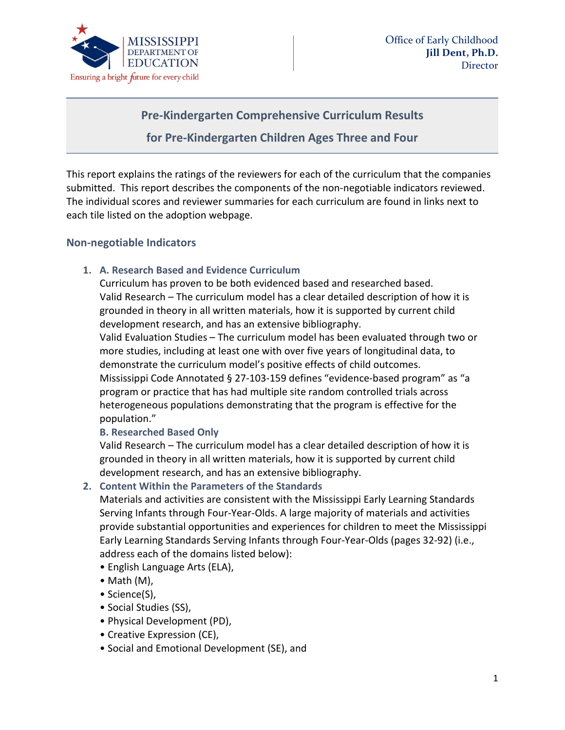

# **Pre-Kindergarten Comprehensive Curriculum Results**

### **for Pre-Kindergarten Children Ages Three and Four**

This report explains the ratings of the reviewers for each of the curriculum that the companies submitted. This report describes the components of the non-negotiable indicators reviewed. The individual scores and reviewer summaries for each curriculum are found in links next to each tile listed on the adoption webpage.

#### **Non-negotiable Indicators**

#### **1. A. Research Based and Evidence Curriculum**

Curriculum has proven to be both evidenced based and researched based. Valid Research – The curriculum model has a clear detailed description of how it is grounded in theory in all written materials, how it is supported by current child development research, and has an extensive bibliography.

Valid Evaluation Studies – The curriculum model has been evaluated through two or more studies, including at least one with over five years of longitudinal data, to demonstrate the curriculum model's positive effects of child outcomes. Mississippi Code Annotated § 27-103-159 defines "evidence-based program" as "a program or practice that has had multiple site random controlled trials across heterogeneous populations demonstrating that the program is effective for the population."

#### **B. Researched Based Only**

Valid Research – The curriculum model has a clear detailed description of how it is grounded in theory in all written materials, how it is supported by current child development research, and has an extensive bibliography.

#### **2. Content Within the Parameters of the Standards**

Materials and activities are consistent with the Mississippi Early Learning Standards Serving Infants through Four-Year-Olds. A large majority of materials and activities provide substantial opportunities and experiences for children to meet the Mississippi Early Learning Standards Serving Infants through Four-Year-Olds (pages 32-92) (i.e., address each of the domains listed below):

- English Language Arts (ELA),
- Math (M),
- Science(S),
- Social Studies (SS),
- Physical Development (PD),
- Creative Expression (CE),
- Social and Emotional Development (SE), and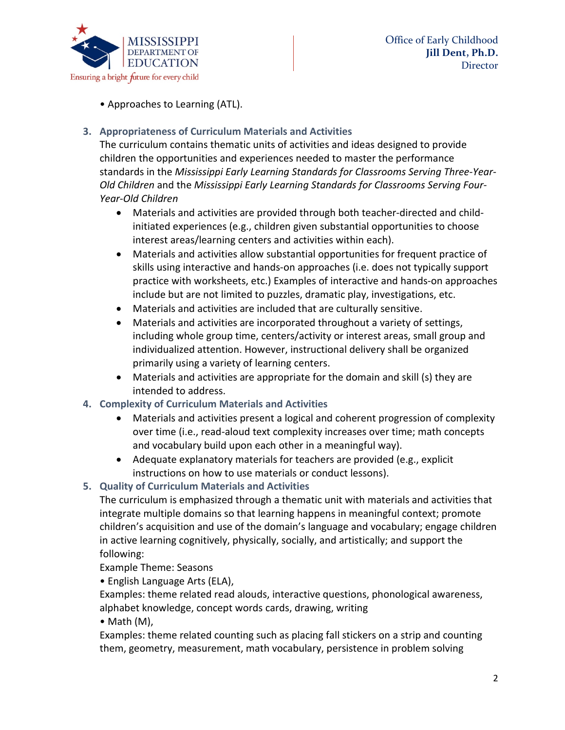

• Approaches to Learning (ATL).

# **3. Appropriateness of Curriculum Materials and Activities**

The curriculum contains thematic units of activities and ideas designed to provide children the opportunities and experiences needed to master the performance standards in the *Mississippi Early Learning Standards for Classrooms Serving Three-Year-Old Children* and the *Mississippi Early Learning Standards for Classrooms Serving Four-Year-Old Children*

- Materials and activities are provided through both teacher-directed and childinitiated experiences (e.g., children given substantial opportunities to choose interest areas/learning centers and activities within each).
- Materials and activities allow substantial opportunities for frequent practice of skills using interactive and hands-on approaches (i.e. does not typically support practice with worksheets, etc.) Examples of interactive and hands-on approaches include but are not limited to puzzles, dramatic play, investigations, etc.
- Materials and activities are included that are culturally sensitive.
- Materials and activities are incorporated throughout a variety of settings, including whole group time, centers/activity or interest areas, small group and individualized attention. However, instructional delivery shall be organized primarily using a variety of learning centers.
- Materials and activities are appropriate for the domain and skill (s) they are intended to address.

# **4. Complexity of Curriculum Materials and Activities**

- Materials and activities present a logical and coherent progression of complexity over time (i.e., read-aloud text complexity increases over time; math concepts and vocabulary build upon each other in a meaningful way).
- Adequate explanatory materials for teachers are provided (e.g., explicit instructions on how to use materials or conduct lessons).

# **5. Quality of Curriculum Materials and Activities**

The curriculum is emphasized through a thematic unit with materials and activities that integrate multiple domains so that learning happens in meaningful context; promote children's acquisition and use of the domain's language and vocabulary; engage children in active learning cognitively, physically, socially, and artistically; and support the following:

Example Theme: Seasons

• English Language Arts (ELA),

Examples: theme related read alouds, interactive questions, phonological awareness, alphabet knowledge, concept words cards, drawing, writing

• Math (M),

Examples: theme related counting such as placing fall stickers on a strip and counting them, geometry, measurement, math vocabulary, persistence in problem solving